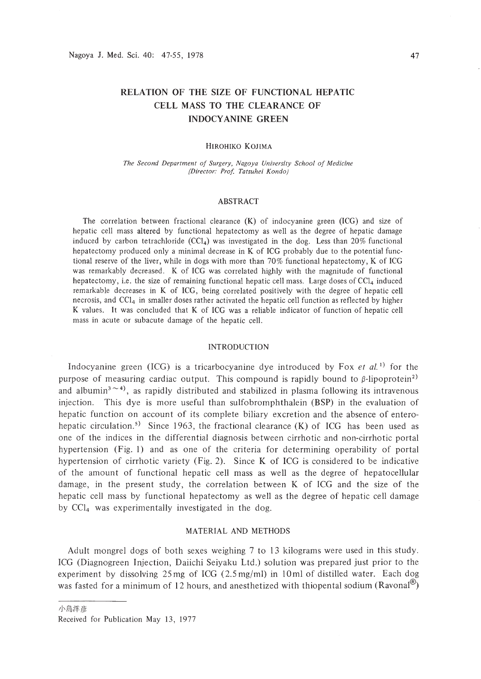# **RELATION OF THE SIZE OF FUNCTIONAL HEPATIC CELL MASS TO THE CLEARANCE OF INDOCYANINE GREEN**

#### HIROHIKO KOJIMA

*The Second Department of Surgery, Nagoya University School of Medicine (Director: Prof Tatsuhei Kondo)*

#### ABSTRACT

The correlation between fractional clearance (K) of indocyanine green (ICG) and size of hepatic cell mass altered by functional hepatectomy as well as the degree of hepatic damage induced by carbon tetrachloride (CCI<sub>4</sub>) was investigated in the dog. Less than 20% functional hepatectomy produced only a minimal decrease in K of ICG probably due to the potential functional reserve of the liver, while in dogs with more than 70% functional hepatectomy, K of ICG was remarkably decreased. K of ICG was correlated highly with the magnitude of functional hepatectomy, i.e. the size of remaining functional hepatic cell mass. Large doses of  $\text{CC}l_4$  induced remarkable decreases in K of ICG, being correlated positively with the degree of hepatic cell necrosis, and  $\text{CC1}_4$  in smaller doses rather activated the hepatic cell function as reflected by higher K values. It was concluded that K of ICG was a reliable indicator of function of hepatic cell mass in acute or subacute damage of the hepatic cell.

# INTRODUCTION

Indocyanine green (ICG) is a tricarbocyanine dye introduced by Fox  $et al.$ <sup>1)</sup> for the purpose of measuring cardiac output. This compound is rapidly bound to  $\beta$ -lipoprotein<sup>2)</sup> and albumin<sup>3</sup> $\sim$ <sup>4</sup>), as rapidly distributed and stabilized in plasma following its intravenous injection. This dye is more useful than sulfobromphthalein (BSP) in the evaluation of hepatic function on account of its complete biliary excretion and the absence of enterohepatic circulation.<sup>5</sup>) Since 1963, the fractional clearance  $(K)$  of ICG has been used as one of the indices in the differential diagnosis between cirrhotic and non-cirrhotic portal hypertension (Fig. I) and as one of the criteria for determining operability of portal hypertension of cirrhotic variety (Fig. 2). Since K of ICG is considered to be indicative of the amount of functional hepatic cell mass as well as the degree of hepatocellular damage, in the present study, the correlation between K of ICG and the size of the hepatic cell mass by functional hepatectomy as well as the degree of hepatic cell damage by CCI<sup>4</sup> was experimentally investigated in the dog.

# MATERIAL AND METHODS

Adult mongrel dogs of both sexes weighing 7 to 13 kilograms were used in this study. ICG (Diagnogreen Injection, Daiichi Seiyaku Ltd.) solution was prepared just prior to the experiment by dissolving 25 mg of ICG (2.5 mg/ml) in IOml of distilled water. Each dog was fasted for a minimum of 12 hours, and anesthetized with thiopental sodium (Ravonal<sup>®</sup>)

Received for Publication May 13, 1977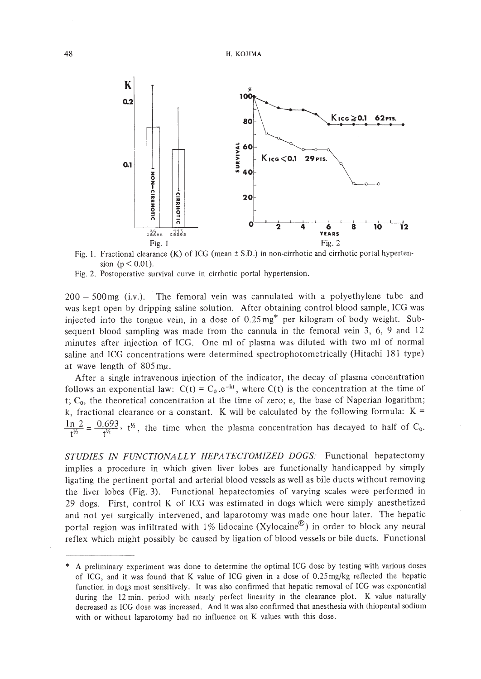

Fig. 1. Fractional clearance  $(K)$  of ICG (mean  $\pm$  S.D.) in non-cirrhotic and cirrhotic portal hypertension ( $p < 0.01$ ).

Fig. 2. Postoperative survival curve in cirrhotic portal hypertension.

 $200 - 500$  mg (i.v.). The femoral vein was cannulated with a polyethylene tube and was kept open by dripping saline solution. After obtaining control blood sample, ICG was injected into the tongue vein, in a dose of 0.25mg\* per kilogram of body weight. Subsequent blood sampling was made from the cannula in the femoral vein 3, 6, 9 and 12 minutes after injection of ICG. One ml of plasma was diluted with two ml of normal saline and ICG concentrations were determined spectrophotometrically (Hitachi 181 type) at wave length of  $805 \text{ m}\mu$ .

After a single intravenous injection of the indicator, the decay of plasma concentration follows an exponential law:  $C(t) = C_0 e^{-kt}$ , where  $C(t)$  is the concentration at the time of t;  $C_0$ , the theoretical concentration at the time of zero; e, the base of Naperian logarithm; k, fractional clearance or a constant. K will be calculated by the following formula:  $K =$  $\frac{ln 2}{t^{1/2}} = \frac{0.693}{t^{1/2}}$ , t<sup>1</sup>/<sub>2</sub>, the time when the plasma concentration has decayed to half of C<sub>0</sub>.

*STUDIES IN FUNCTIONALLY HEPATECTOMIZED DOGS:* Functional hepatectomy implies a procedure in which given liver lobes are functionally handicapped by simply ligating the pertinent portal and arterial blood vessels as well as bile ducts without removing the liver lobes (Fig. 3). Functional hepatectomies of varying scales were performed in 29 dogs. First, control K of ICG was estimated in dogs which were simply anesthetized and not yet surgically intervened, and laparotomy was made one hour later. The hepatic portal region was infiltrated with  $1\%$  lidocaine (Xylocaine<sup>®</sup>) in order to block any neural reflex which might possibly be caused by ligation of blood vessels or bile ducts. Functional

<sup>\*</sup> A preliminary experiment was done to determine the optimal ICG dose by testing with various doses of ICG, and it was found that K value of ICG given in a dose of 0.25 mg/kg reflected the hepatic function in dogs most sensitively. It was also confirmed that hepatic removal of ICG was exponential during the 12 min. period with nearly perfect linearity in the clearance plot. K value naturally decreased as ICG dose was increased. And it was also confirmed that anesthesia with thiopental sodium with or without laparotomy had no influence on K values with this dose.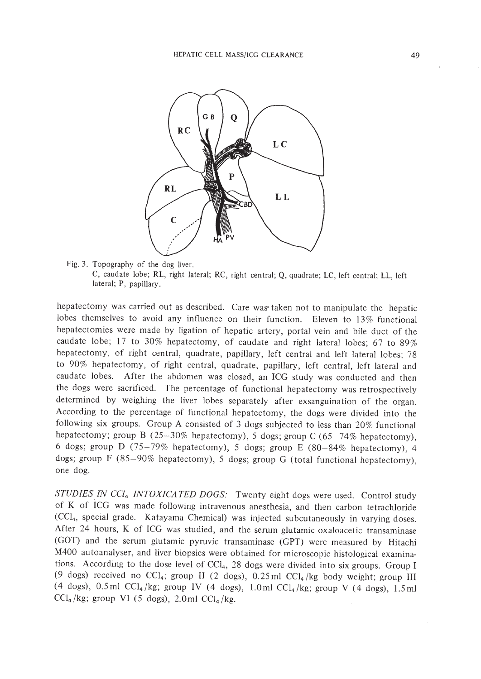

Fig. 3. Topography of the dog liver. C, caudate lobe; RL, right lateral; RC, right central; Q, quadrate; LC, left central; LL, left lateral; P, papillary.

hepatectomy was carried out as described. Care was' taken not to manipulate the hepatic lobes themselves to avoid any influence on their function. Eleven to 13% functional hepatectomies were made by ligation of hepatic artery, portal vein and bile duct of the caudate lobe; 17 to 30% hepatectomy, of caudate and right lateral lobes; 67 to 89% hepatectomy, of right central, quadrate, papillary, left central and left lateral lobes; 78 to 90% hepatectomy, of right central, quadrate, papillary, left central, left lateral and caudate lobes. After the abdomen was closed, an ICG study was conducted and then the dogs were sacrificed. The percentage of functional hepatectomy was retrospectively determined by weighing the liver lobes separately after exsanguination of the organ. According to the percentage of functional hepatectomy, the dogs were divided into the following six groups. Group A consisted of 3 dogs subjected to less than 20% functional hepatectomy; group B  $(25-30\%$  hepatectomy), 5 dogs; group C  $(65-74\%$  hepatectomy), 6 dogs; group D (75-79% hepatectomy), 5 dogs; group E (80-84% hepatectomy), 4 dogs; group F (85-90% hepatectomy), 5 dogs; group G (total functional hepatectomy), one dog.

*STUDIES IN CCl4 INTOXICA TED DOGS:* Twenty eight dogs were used. Control study of K of ICG was made following intravenous anesthesia, and then carbon tetrachloride (CCI<sub>4</sub>, special grade. Katayama Chemical) was injected subcutaneously in varying doses. After 24 hours, K of ICG was studied, and the serum glutamic oxaloacetic transaminase (GOT) and the serum glutamic pyruvic transaminase (GPT) were measured by Hitachi M400 autoanalyser, and liver biopsies were obtained for microscopic histological examinations. According to the dose level of  $CCI<sub>4</sub>$ , 28 dogs were divided into six groups. Group I (9 dogs) received no CCl<sub>4</sub>; group II (2 dogs),  $0.25$  ml CCl<sub>4</sub>/kg body weight; group III (4 dogs), 0.5 ml CCl<sub>4</sub>/kg; group IV (4 dogs), 1.0ml CCl<sub>4</sub>/kg; group V (4 dogs), 1.5 ml  $\text{CCl}_4/\text{kg}$ ; group VI (5 dogs), 2.0ml  $\text{CCl}_4/\text{kg}$ .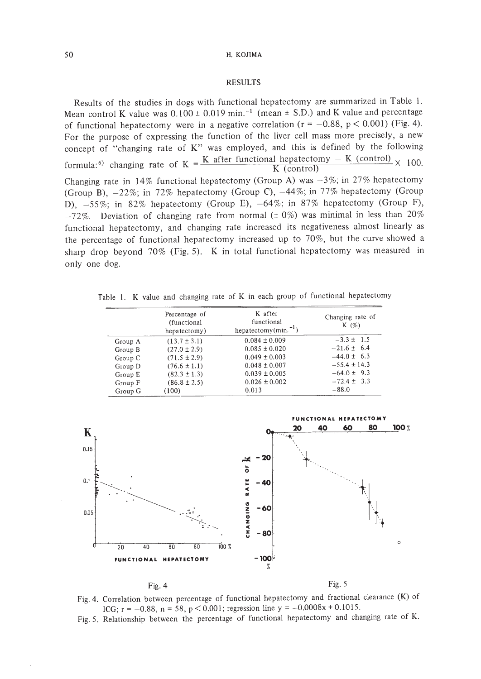### RESULTS

Results of the studies in dogs with functional hepatectomy are summarized in Table 1. Mean control K value was  $0.100 \pm 0.019$  min.<sup>-1</sup> (mean  $\pm$  S.D.) and K value and percentage of functional hepatectomy were in a negative correlation ( $r = -0.88$ ,  $p < 0.001$ ) (Fig. 4). For the purpose of expressing the function of the liver cell mass more precisely, a new concept of "changing rate of K" was employed, and this is defined by the following formula:<sup>6)</sup> changing rate of K =  $\frac{K$  after functional hepatectomy - K (control)  $\times$  100. Changing rate in 14% functional hepatectomy (Group A) was  $-3\%$ ; in 27% hepatectomy (Group B),  $-22\%$ ; in 72% hepatectomy (Group C),  $-44\%$ ; in 77% hepatectomy (Group D), -55%; in 82% hepatectomy (Group E), -64%; in 87% hepatectomy (Group F),  $-72\%$ . Deviation of changing rate from normal ( $\pm$  0%) was minimal in less than 20% functional hepatectomy, and changing rate increased its negativeness almost linearly as the percentage of functional hepatectomy increased up to 70%, but the curve showed a sharp drop beyond 70% (Fig. 5). K in total functional hepatectomy was measured in only one dog.

Table 1. K value and changing rate of K in each group of functional hepatectomy

|         | Percentage of<br>(functional)<br>hepatectomy) | K after<br>functional<br>hepatectomy $(min^{-1})$ | Changing rate of<br>K $(\%)$ |
|---------|-----------------------------------------------|---------------------------------------------------|------------------------------|
| Group A | $(13.7 \pm 3.1)$                              | $0.084 \pm 0.009$                                 | $-3.3 \pm 1.5$               |
| Group B | $(27.0 \pm 2.9)$                              | $0.085 \pm 0.020$                                 | $-21.6 \pm 6.4$              |
| Group C | $(71.5 \pm 2.9)$                              | $0.049 \pm 0.003$                                 | $-44.0 \pm 6.3$              |
| Group D | $(76.6 \pm 1.1)$                              | $0.048 \pm 0.007$                                 | $-55.4 \pm 14.3$             |
| Group E | $(82.3 \pm 1.3)$                              | $0.039 \pm 0.005$                                 | $-64.0 \pm 9.3$              |
| Group F | $(86.8 \pm 2.5)$                              | $0.026 \pm 0.002$                                 | $-72.4 \pm 3.3$              |
| Group G | (100)                                         | 0.013                                             | $-88.0$                      |





Fig. 5. Relationship between the percentage of functional hepatectomy and changing rate of K.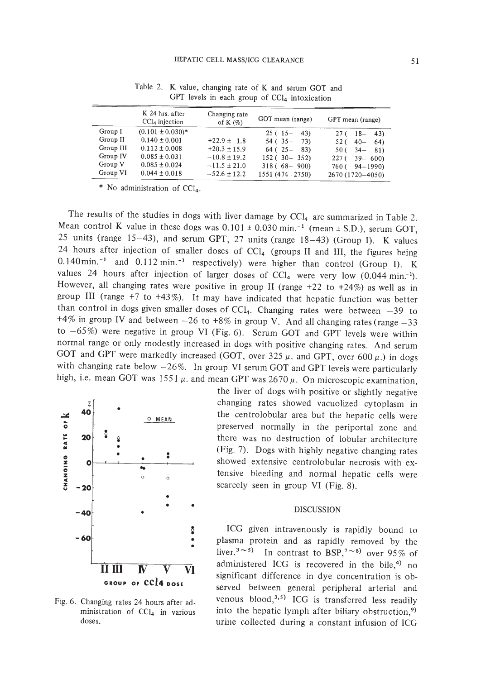|           | K 24 hrs. after<br>$CCl4$ injection | Changing rate<br>of K $(\%)$ | GOT mean (range)   | GPT mean (range)                |
|-----------|-------------------------------------|------------------------------|--------------------|---------------------------------|
| Group I   | $(0.101 \pm 0.030)^*$               |                              | $25(15 - 43)$      | $27(18-$<br>$-43$               |
| Group II  | $0.140 \pm 0.001$                   | $+22.9 \pm 1.8$              | $54(35 -$<br>73)   | $40 -$<br>52 (<br><sup>64</sup> |
| Group III | $0.112 \pm 0.008$                   | $+20.3 \pm 15.9$             | $64(25 - 83)$      | $34 -$<br>81)<br>50 (           |
| Group IV  | $0.085 \pm 0.031$                   | $-10.8 \pm 19.2$             | $152(30 - 352)$    | $39 - 600$<br>227(              |
| Group V   | $0.085 \pm 0.024$                   | $-11.5 \pm 21.0$             | $318(68 - 900)$    | $760(-94-1990)$                 |
| Group VI  | $0.044 \pm 0.018$                   | $-52.6 \pm 12.2$             | $1551(474 - 2750)$ | 2670 (1720-4050)                |

Table 2. K value, changing rate of K and serum GOT and GPT levels in each group of CCI<sub>4</sub> intoxication

No administration of  $CCl<sub>4</sub>$ .

The results of the studies in dogs with liver damage by  $CCl<sub>4</sub>$  are summarized in Table 2. Mean control K value in these dogs was  $0.101 \pm 0.030$  min.<sup>-1</sup> (mean  $\pm$  S.D.), serum GOT, 25 units (range 15-43), and serum GPT, 27 units (range 18-43) (Group I). K values 24 hours after injection of smaller doses of  $CCI<sub>4</sub>$  (groups II and III, the figures being  $0.140$ min.<sup>-1</sup> and  $0.112$  min.<sup>-1</sup> respectively) were higher than control (Group I). K values 24 hours after injection of larger doses of  $CCl<sub>4</sub>$  were very low (0.044 min.<sup>-1</sup>). However, all changing rates were positive in group II (range  $+22$  to  $+24\%$ ) as well as in group III (range  $+7$  to  $+43\%$ ). It may have indicated that hepatic function was better than control in dogs given smaller doses of  $CCl<sub>4</sub>$ . Changing rates were between  $-39$  to +4% in group IV and between  $-26$  to  $+8\%$  in group V. And all changing rates (range  $-33$ to  $-65\%$ ) were negative in group VI (Fig. 6). Serum GOT and GPT levels were within normal range or only modestly increased in dogs with positive changing rates. And serum GOT and GPT were markedly increased (GOT, over 325  $\mu$ . and GPT, over 600  $\mu$ .) in dogs with changing rate below  $-26\%$ . In group VI serum GOT and GPT levels were particularly high, i.e. mean GOT was 1551  $\mu$ . and mean GPT was 2670  $\mu$ . On microscopic examination,



Fig. 6. Changing rates 24 hours after administration of CCI4 in various doses.

the liver of dogs with positive or slightly negative changing rates showed vacuolized cytoplasm in the centrolobular area but the hepatic cells were preserved normally in the periportal zone and there was no destruction of lobular architecture (Fig. 7). Dogs with highly negative changing rates showed extensive centrolobular necrosis with extensive bleeding and normal hepatic cells were scarcely seen in group VI (Fig. 8).

ICG given intravenously is rapidly bound to plasma protein and as rapidly removed by the liver.<sup>3</sup> $\sim$ <sup>5</sup>) In contrast to BSP,<sup>7</sup> $\sim$ <sup>8</sup>) over 95% of administered ICG is recovered in the bile, $4$ ) no significant difference in dye concentration is observed between general peripheral arterial and venous blood, $3,5$ ) ICG is transferred less readily into the hepatic lymph after biliary obstruction,<sup>9)</sup> urine collected during a constant infusion of ICG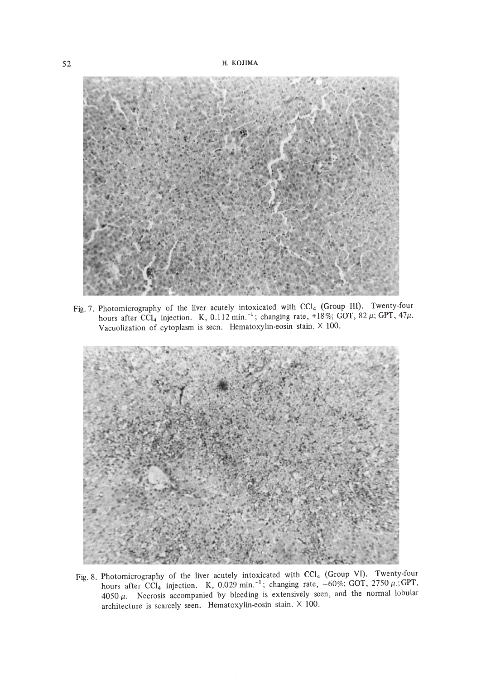

Fig. 7. Photomicrography of the liver acutely intoxicated with CCl<sub>4</sub> (Group III). Twenty-four hours after CCl<sub>4</sub> injection. K, 0.112 min.<sup>-1</sup>; changing rate, +18%; GOT, 82  $\mu$ ; GPT, 47 $\mu$ . Vacuolization of cytoplasm is seen. Hematoxylin.eosin stain. X 100.



Fig. 8. Photomicrography of the liver acutely intoxicated with  $\text{CC1}_4$  (Group VI). Twenty-four hours after CCI<sub>4</sub> injection. K, 0.029 min.<sup>-1</sup>; changing rate,  $-60\%$ ; GOT, 2750  $\mu$ .; GPI  $4050 \mu$ . Necrosis accompanied by bleeding is extensively seen, and the normal lobular architecture is scarcely seen. Hematoxylin-eosin stain. X 100.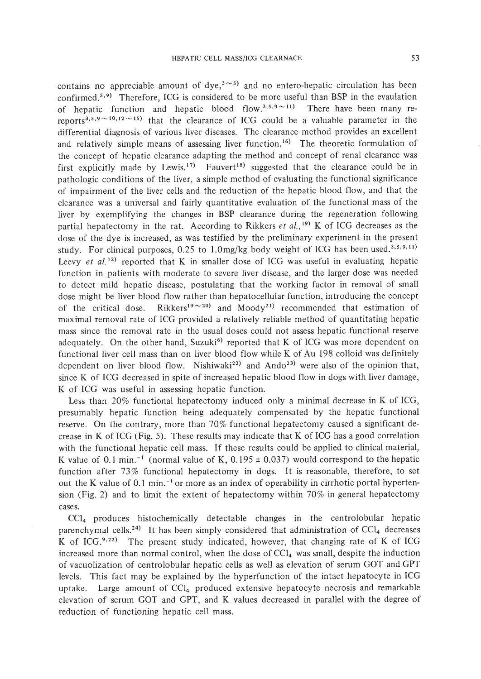contains no appreciable amount of dye,<sup>3 $\sim$ 5</sup>) and no entero-hepatic circulation has been confirmed.<sup>5,9)</sup> Therefore, ICG is considered to be more useful than BSP in the evaulation of hepatic function and hepatic blood flow.<sup>3,5,9</sup> $\sim$ 11) There have been many rereports<sup>3,5,9~10,12~15</sup>) that the clearance of ICG could be a valuable parameter in the differential diagnosis of various liver diseases. The clearance method provides an excellent and relatively simple means of assessing liver function.<sup>16)</sup> The theoretic formulation of the concept of hepatic clearance adapting the method and concept of renal clearance was first explicitly made by Lewis.<sup>17)</sup> Fauvert<sup>18</sup> suggested that the clearance could be in pathologic conditions of the liver, a simple method of evaluating the functional significance of impairment of the liver cells and the reduction of the hepatic blood flow, and that the clearance was a universal and fairly quantitative evaluation of the functional mass of the liver by exemplifying the changes in BSP clearance during the regeneration following partial hepatectomy in the rat. According to Rikkers *et al.*,<sup>19)</sup> K of ICG decreases as the dose of the dye is increased, as was testified by the preliminary experiment in the present study. For clinical purposes,  $0.25$  to 1.0mg/kg body weight of ICG has been used.<sup>3,5,9,11)</sup> Leevy *et al.*<sup>12</sup> reported that K in smaller dose of ICG was useful in evaluating hepatic function in patients with moderate to severe liver disease; and the larger dose was needed to detect mild hepatic disease, postulating that the working factor in removal of small dose might be liver blood flow rather than hepatocellular function, introducing the concept of the critical dose. Rikkers<sup>19</sup><sup> $\sim$ 20</sup>) and Moody<sup>21</sup> recommended that estimation of maximal removal rate of ICG provided a relatively reliable method of quantitating hepatic mass since the removal rate in the usual doses could not assess hepatic functional reserve adequately. On the other hand, Suzuki<sup>6)</sup> reported that K of ICG was more dependent on functional liver cell mass than on liver blood flow while K of Au 198 colloid was definitely dependent on liver blood flow. Nishiwaki<sup>22)</sup> and Ando<sup>23)</sup> were also of the opinion that, since K of ICG decreased in spite of increased hepatic blood flow in dogs with liver damage, K of ICG was useful in assessing hepatic function.

Less than 20% functional hepatectomy induced only a minimal decrease in K of ICG, presumably hepatic function being adequately compensated by the hepatic functional reserve. On the contrary, more than 70% functional hepatectomy caused a significant decrease in K of ICG (Fig. 5). These results may indicate that K of ICG has a good correlation with the functional hepatic cell mass. If these results could be applied to clinical material, K value of 0.1 min.<sup>-1</sup> (normal value of K,  $0.195 \pm 0.037$ ) would correspond to the hepatic function after 73% functional hepatectomy in dogs. It is reasonable, therefore, to set out the K value of 0.1 min.<sup> $-1$ </sup> or more as an index of operability in cirrhotic portal hypertension (Fig. 2) and to limit the extent of hepatectomy within 70% in general hepatectomy cases.

CCI4 produces histochemically detectable changes in the centrolobular hepatic parenchymal cells.<sup>24)</sup> It has been simply considered that administration of  $\text{CCl}_4$  decreases K of  $ICG^{9,22}$  The present study indicated, however, that changing rate of K of ICG increased more than normal control, when the dose of  $\text{CCl}_4$  was small, despite the induction of vacuolization of centrolobular hepatic cells as well as elevation of serum GOT and GPT levels. This fact may be explained by the hyperfunction of the intact hepatocyte in ICG uptake. Large amount of  $CCl<sub>4</sub>$  produced extensive hepatocyte necrosis and remarkable elevation of serum GOT and GPT, and K values decreased in parallel with the degree of reduction of functioning hepatic cell mass.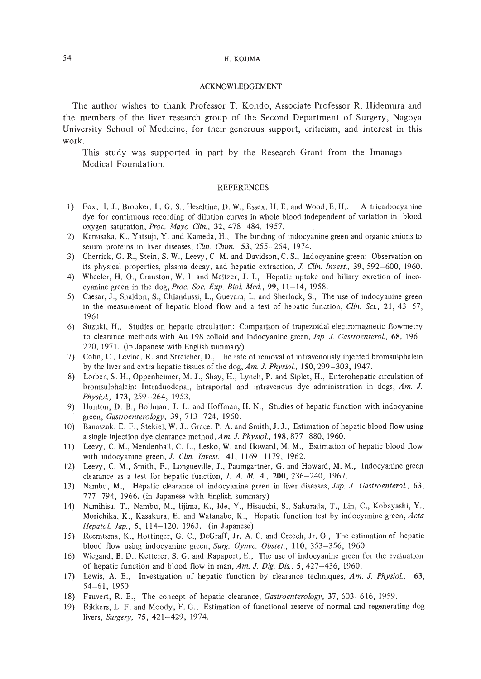# 54 H. KOJIMA

# ACKNOWLEDGEMENT

The author wishes to thank Professor T. Kondo, Associate Professor R. Hidemura and the members of the liver research group of the Second Department of Surgery, Nagoya University School of Medicine, for their generous support, criticism, and interest in this work.

This study was supported in part by the Research Grant from the Imanaga Medical Foundation.

#### REFERENCES

- I) Fox, 1. J., Brooker, L. G. S., Heseltine, D. W., Essex, H. E. and Wood, E. H., A tricarbocyanine dye for continuous recording of dilution curves in whole blood independent of variation in blood oxygen saturation, *Froc. Mayo Clin.,* 32,478-484, 1957.
- 2) Karnisaka, K., Yatsuji, Y. and Kameda, H., The binding of indocyanine green and organic anions to serum proteins in liver diseases, *Clin. Chim.,* 53, 255-264, 1974.
- 3) Cherrick, G. R., Stein, S. W., Leevy, C. M. and Davidson, C. S., Indocyanine green: Observation on its physical properties, plasma decay, and hepatic extraction, *J. Clin. Invest.,* 39,592-600, 1960.
- 4) Wheeler, H. 0., Cranston, W. 1. and Meltzer, J. 1., Hepatic uptake and biliary exretion of incocyanine green in the *dog,Proc. Soc. Exp. Bioi. Med.,* 99, 11-14, 1958.
- 5) Caesar, 1., Shaldon, S., Chiandussi, L., Guevara, L. and Sherlock, S., The use of indocyanine green in the measurement of hepatic blood flow and a test of hepatic function, *Clin. Sci.,* 21, 43-57, 1961.
- 6) Suzuki, H., Studies on hepatic circulation: Comparison of trapezoidal electromagnetic flowmetry to clearance methods with Au 198 colloid and indocyanine green, *Jap. J. Gastroenterol.,* 68, 196- 220,1971. (in Japanese with English summary)
- 7) Cohn, C., Levine, R. and Streicher, D., The rate of removal of intravenously injected bromsulphalein by the liver and extra hepatic tissues of the dog, *Am. J. Physiol.,* 150,299-303, 1947.
- 8) Lorber, S. H., Oppenheimer, M. 1., Shay, H., Lynch, P. and Siplet, H., Enterohepatic circulation of bromsulphalein: Intraduodenal, intraportal and intravenous dye administration in dogs, *Am.* J. *Physiol.,* 173,259-264, 1953.
- 9) Hunton, D. B., Bollman, J. L. and Hoffman, H. N., Studies of hepatic function with indocyanine green, *Gastroenterology,* 39, 713-724, 1960.
- 10) Banaszak, E. F., Stekiel, W. 1., Grace, P. A. and Smith, J. J., Estimation of hepatic blood flow using a single injection dye clearance method, *Am. J. Physiol.,* 198,877-880,1960.
- II) Leevy, C. M., Mendenhall, C. L., Lesko, W. and Howard, M. M., Estimation of hepatic blood flow with indocyanine green, *J. Clin. Invest.,* 41, 1169-1179, 1962.
- 12) Leevy, C. M., Smith, F., Longueville, 1., Paumgartner, G. and Howard, M. M., Indocyanine green clearance as a test for hepatic function, J. A. M. A., 200, 236-240, 1967.
- 13) Nambu, M., Hepatic clearance of indocyanine green in liver diseases, *Jap. J. Gastroenterol., 63,* 777-794, 1966. (in Japanese with English summary)
- 14) Namihisa, T., Nambu, M., Iijima, K., Ide, Y., Hisauchi, S., Sakurada, T., Lin, C., Kobayashi, Y., Morichika, K., Kasakura, E. and Watanabe, K., Hepatic function test by indocyanine green, *Acta Hepatol. Jap.,* 5, 114~120, 1963. (in Japanese)
- 15) Reemtsma, K., Hottinger, G. C., DeGraff, Jr. A. C. and Creech, Jr. O., The estimation of hepatic blood flow using indocyanine green, *Surg. Gynec. Obstet.,* 110, 353-356, 1960.
- 16) Wiegand, B. D., Ketterer, S. G. and Rapaport, E., The use of indocyanine green for the evaluation of hepatic function and blood flow in man, *Am. J. Dig. Dis.,* 5,427-436, 1960.
- 17) Lewis, A. E., Investigation of hepatic function by clearance techniques, *Am. J. Physiol., 63,* 54-61, 1950.
- 18) Fauvert, R. E., The concept of hepatic clearance, *Gastroenterology,* 37,603-616, 1959.
- 19) Rikkers, L. F. and Moody, F. G., Estimation of functional reserve of normal and regenerating dog livers, *Surgery,* 75,421-429, 1974.